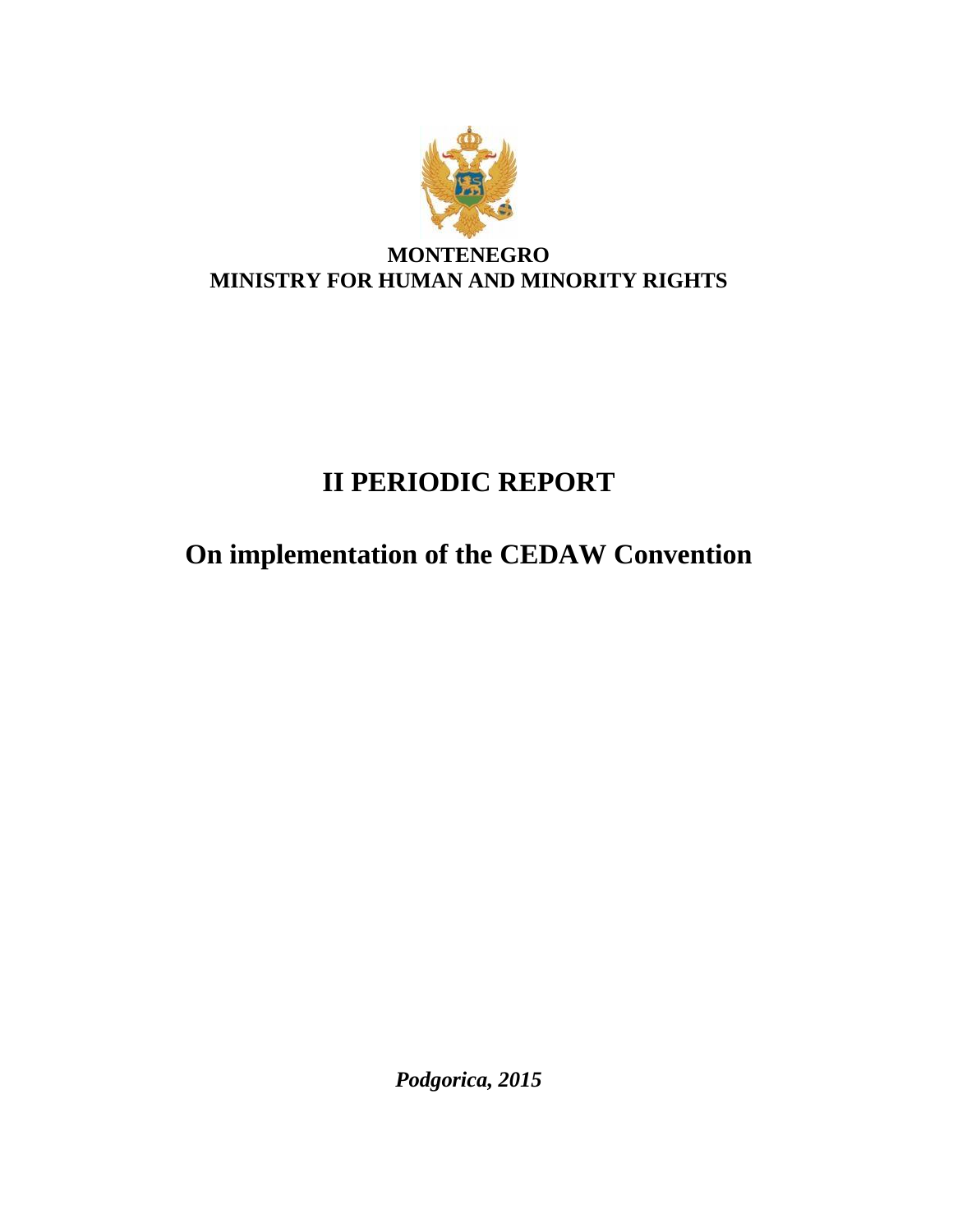

# **II PERIODIC REPORT**

# **On implementation of the CEDAW Convention**

*Podgorica, 2015*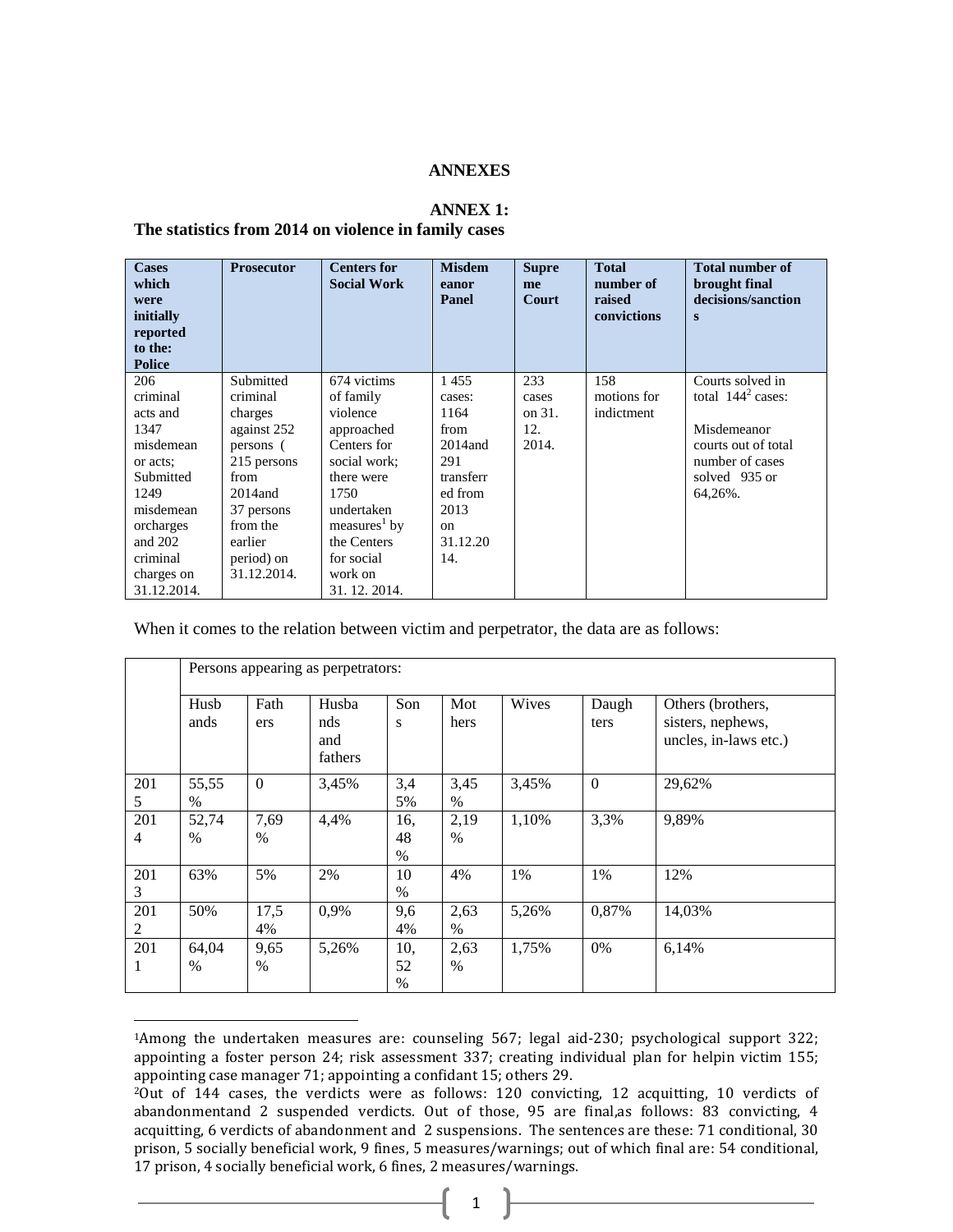### **ANNEXES**

### **ANNEX 1:**

#### **The statistics from 2014 on violence in family cases**

 $\overline{a}$ 

| <b>Cases</b><br>which<br>were<br>initially<br>reported<br>to the:<br><b>Police</b> | <b>Prosecutor</b>     | <b>Centers for</b><br><b>Social Work</b> | <b>Misdem</b><br>eanor<br>Panel | <b>Supre</b><br>me<br>Court | <b>Total</b><br>number of<br>raised<br>convictions | <b>Total number of</b><br>brought final<br>decisions/sanction<br>$\mathbf{s}$ |
|------------------------------------------------------------------------------------|-----------------------|------------------------------------------|---------------------------------|-----------------------------|----------------------------------------------------|-------------------------------------------------------------------------------|
| 206<br>criminal                                                                    | Submitted<br>criminal | 674 victims<br>of family                 | 1455<br>cases:                  | 233<br>cases                | 158<br>motions for                                 | Courts solved in<br>total $1442$ cases:                                       |
| acts and                                                                           | charges               | violence                                 | 1164                            | on 31.                      | indictment                                         |                                                                               |
| 1347                                                                               | against 252           | approached                               | from                            | 12.                         |                                                    | Misdemeanor                                                                   |
| misdemean                                                                          | persons (             | Centers for                              | $2014$ and                      | 2014.                       |                                                    | courts out of total                                                           |
| or acts;                                                                           | 215 persons           | social work;                             | 291                             |                             |                                                    | number of cases                                                               |
| Submitted                                                                          | from                  | there were                               | transferr                       |                             |                                                    | solved 935 or                                                                 |
| 1249                                                                               | $2014$ and            | 1750                                     | ed from                         |                             |                                                    | 64,26%.                                                                       |
| misdemean                                                                          | 37 persons            | undertaken                               | 2013                            |                             |                                                    |                                                                               |
| orcharges                                                                          | from the              | measures <sup>1</sup> by                 | <sub>on</sub>                   |                             |                                                    |                                                                               |
| and $202$                                                                          | earlier               | the Centers                              | 31.12.20                        |                             |                                                    |                                                                               |
| criminal                                                                           | period) on            | for social                               | 14.                             |                             |                                                    |                                                                               |
| charges on                                                                         | 31.12.2014.           | work on                                  |                                 |                             |                                                    |                                                                               |
| 31.12.2014.                                                                        |                       | 31. 12. 2014.                            |                                 |                             |                                                    |                                                                               |

When it comes to the relation between victim and perpetrator, the data are as follows:

|     | Persons appearing as perpetrators: |                  |                       |               |      |       |          |                                            |  |
|-----|------------------------------------|------------------|-----------------------|---------------|------|-------|----------|--------------------------------------------|--|
|     | Husb                               | Fath             | Husba                 | Son           | Mot  | Wives | Daugh    | Others (brothers,                          |  |
|     | ands                               | ers              | nds<br>and<br>fathers | S             | hers |       | ters     | sisters, nephews,<br>uncles, in-laws etc.) |  |
| 201 | 55,55                              | $\boldsymbol{0}$ | 3,45%                 | 3,4           | 3,45 | 3,45% | $\Omega$ | 29,62%                                     |  |
| 5   | $\%$                               |                  |                       | 5%            | $\%$ |       |          |                                            |  |
| 201 | 52,74                              | 7,69             | 4,4%                  | 16,           | 2,19 | 1,10% | 3,3%     | 9,89%                                      |  |
| 4   | $\frac{0}{0}$                      | $\%$             |                       | 48            | $\%$ |       |          |                                            |  |
|     |                                    |                  |                       | $\%$          |      |       |          |                                            |  |
| 201 | 63%                                | 5%               | 2%                    | 10            | 4%   | 1%    | 1%       | 12%                                        |  |
| 3   |                                    |                  |                       | $\%$          |      |       |          |                                            |  |
| 201 | 50%                                | 17,5             | 0,9%                  | 9,6           | 2,63 | 5,26% | 0,87%    | 14,03%                                     |  |
| 2   |                                    | 4%               |                       | 4%            | $\%$ |       |          |                                            |  |
| 201 | 64,04                              | 9,65             | 5,26%                 | 10,           | 2,63 | 1,75% | 0%       | 6,14%                                      |  |
|     | $\frac{0}{0}$                      | $\%$             |                       | 52            | $\%$ |       |          |                                            |  |
|     |                                    |                  |                       | $\frac{0}{0}$ |      |       |          |                                            |  |

<sup>1</sup>Among the undertaken measures are: counseling 567; legal aid-230; psychological support 322; appointing a foster person 24; risk assessment 337; creating individual plan for helpin victim 155; appointing case manager 71; appointing a confidant 15; others 29.

<sup>2</sup>Out of 144 cases, the verdicts were as follows: 120 convicting, 12 acquitting, 10 verdicts of abandonmentand 2 suspended verdicts. Out of those, 95 are final,as follows: 83 convicting, 4 acquitting, 6 verdicts of abandonment and 2 suspensions. The sentences are these: 71 conditional, 30 prison, 5 socially beneficial work, 9 fines, 5 measures/warnings; out of which final are: 54 conditional, 17 prison, 4 socially beneficial work, 6 fines, 2 measures/warnings.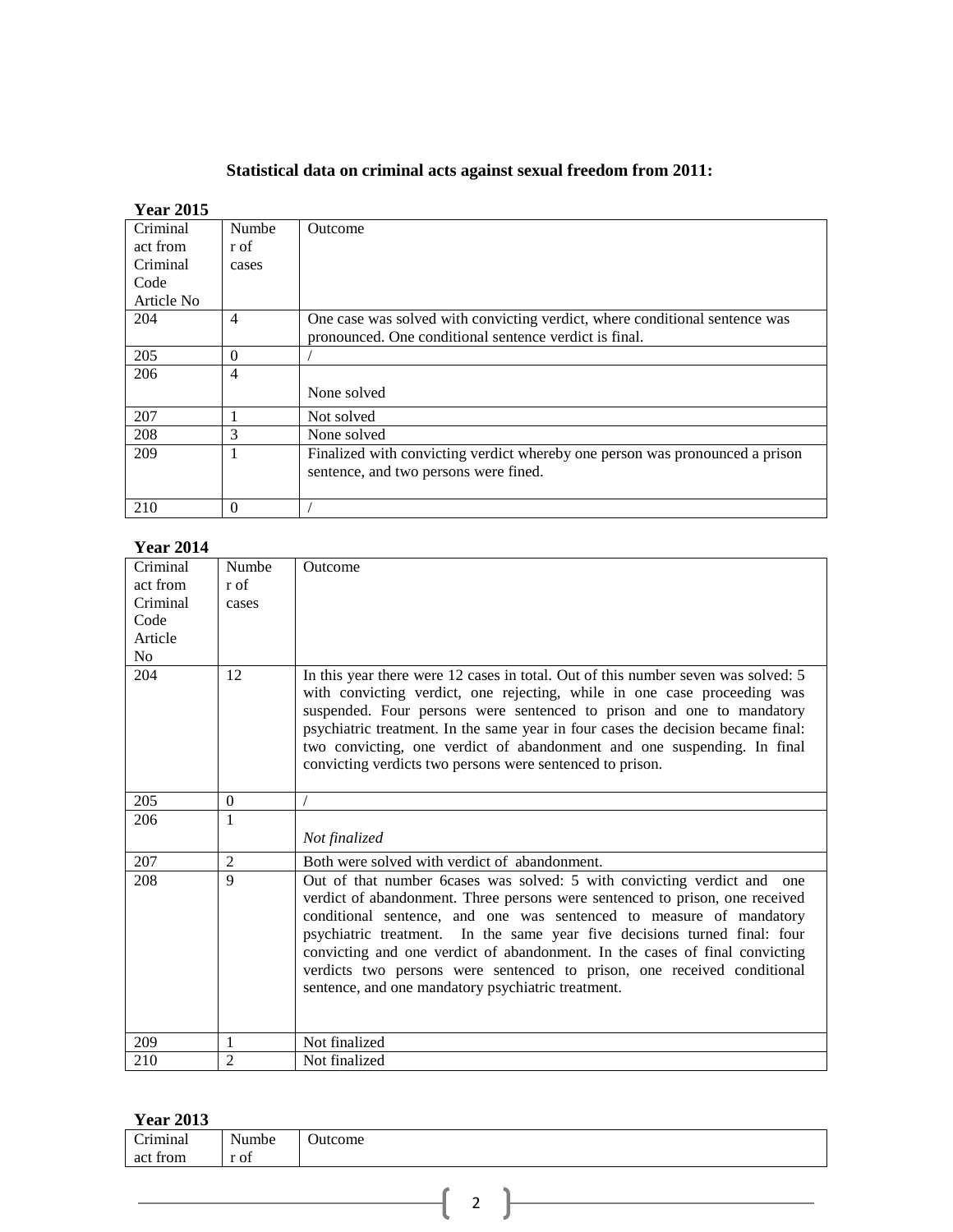## **Statistical data on criminal acts against sexual freedom from 2011:**

## **Year 2015**

| Criminal   | Numbe    | Outcome                                                                                                                               |
|------------|----------|---------------------------------------------------------------------------------------------------------------------------------------|
| act from   | r of     |                                                                                                                                       |
| Criminal   | cases    |                                                                                                                                       |
| Code       |          |                                                                                                                                       |
| Article No |          |                                                                                                                                       |
| 204        | 4        | One case was solved with convicting verdict, where conditional sentence was<br>pronounced. One conditional sentence verdict is final. |
| 205        | $\Omega$ |                                                                                                                                       |
| 206        | 4        |                                                                                                                                       |
|            |          | None solved                                                                                                                           |
| 207        |          | Not solved                                                                                                                            |
| 208        | 3        | None solved                                                                                                                           |
| 209        |          | Finalized with convicting verdict whereby one person was pronounced a prison                                                          |
|            |          | sentence, and two persons were fined.                                                                                                 |
| 210        | $\theta$ |                                                                                                                                       |

## **Year 2014**

| Criminal | Numbe          | Outcome                                                                                                                                                                                                                                                                                                                                                                                                                                                                                                                     |
|----------|----------------|-----------------------------------------------------------------------------------------------------------------------------------------------------------------------------------------------------------------------------------------------------------------------------------------------------------------------------------------------------------------------------------------------------------------------------------------------------------------------------------------------------------------------------|
| act from | r of           |                                                                                                                                                                                                                                                                                                                                                                                                                                                                                                                             |
| Criminal | cases          |                                                                                                                                                                                                                                                                                                                                                                                                                                                                                                                             |
| Code     |                |                                                                                                                                                                                                                                                                                                                                                                                                                                                                                                                             |
| Article  |                |                                                                                                                                                                                                                                                                                                                                                                                                                                                                                                                             |
| No       |                |                                                                                                                                                                                                                                                                                                                                                                                                                                                                                                                             |
| 204      | 12             | In this year there were 12 cases in total. Out of this number seven was solved: 5<br>with convicting verdict, one rejecting, while in one case proceeding was<br>suspended. Four persons were sentenced to prison and one to mandatory<br>psychiatric treatment. In the same year in four cases the decision became final:<br>two convicting, one verdict of abandonment and one suspending. In final<br>convicting verdicts two persons were sentenced to prison.                                                          |
| 205      | $\theta$       |                                                                                                                                                                                                                                                                                                                                                                                                                                                                                                                             |
| 206      | 1              | Not finalized                                                                                                                                                                                                                                                                                                                                                                                                                                                                                                               |
| 207      | $\overline{2}$ | Both were solved with verdict of abandonment.                                                                                                                                                                                                                                                                                                                                                                                                                                                                               |
| 208      | $\mathbf Q$    | Out of that number 6cases was solved: 5 with convicting verdict and one<br>verdict of abandonment. Three persons were sentenced to prison, one received<br>conditional sentence, and one was sentenced to measure of mandatory<br>psychiatric treatment. In the same year five decisions turned final: four<br>convicting and one verdict of abandonment. In the cases of final convicting<br>verdicts two persons were sentenced to prison, one received conditional<br>sentence, and one mandatory psychiatric treatment. |
| 209      | 1              | Not finalized                                                                                                                                                                                                                                                                                                                                                                                                                                                                                                               |
| 210      | $\overline{2}$ | Not finalized                                                                                                                                                                                                                                                                                                                                                                                                                                                                                                               |

## **Year 2013**

| $\sim$ $\sim$ $\sim$ $\sim$ $\sim$ |       |         |
|------------------------------------|-------|---------|
| Criminal<br>act from               | Numbe | Outcome |
|                                    | r of  |         |
|                                    |       |         |
|                                    |       |         |
|                                    |       | -       |
|                                    |       |         |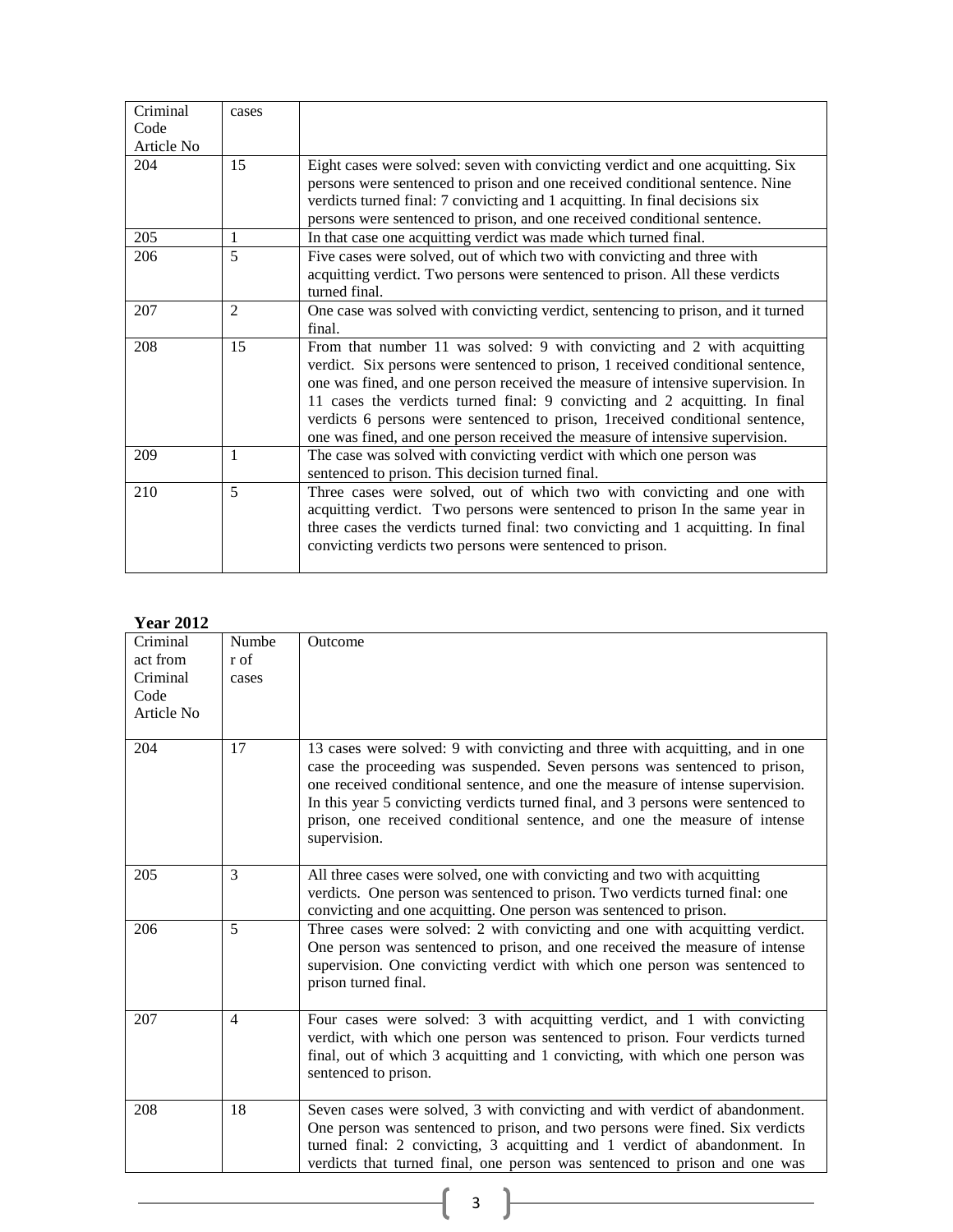| Criminal           | cases          |                                                                                                                                                                                                                                                                                                                                                                                                                                                                                               |
|--------------------|----------------|-----------------------------------------------------------------------------------------------------------------------------------------------------------------------------------------------------------------------------------------------------------------------------------------------------------------------------------------------------------------------------------------------------------------------------------------------------------------------------------------------|
| Code<br>Article No |                |                                                                                                                                                                                                                                                                                                                                                                                                                                                                                               |
| 204                | 15             | Eight cases were solved: seven with convicting verdict and one acquitting. Six<br>persons were sentenced to prison and one received conditional sentence. Nine<br>verdicts turned final: 7 convicting and 1 acquitting. In final decisions six<br>persons were sentenced to prison, and one received conditional sentence.                                                                                                                                                                    |
| 205                | 1              | In that case one acquitting verdict was made which turned final.                                                                                                                                                                                                                                                                                                                                                                                                                              |
| 206                | 5              | Five cases were solved, out of which two with convicting and three with<br>acquitting verdict. Two persons were sentenced to prison. All these verdicts<br>turned final.                                                                                                                                                                                                                                                                                                                      |
| 207                | $\overline{2}$ | One case was solved with convicting verdict, sentencing to prison, and it turned<br>final.                                                                                                                                                                                                                                                                                                                                                                                                    |
| 208                | 15             | From that number 11 was solved: 9 with convicting and 2 with acquitting<br>verdict. Six persons were sentenced to prison, 1 received conditional sentence,<br>one was fined, and one person received the measure of intensive supervision. In<br>11 cases the verdicts turned final: 9 convicting and 2 acquitting. In final<br>verdicts 6 persons were sentenced to prison, 1 received conditional sentence,<br>one was fined, and one person received the measure of intensive supervision. |
| 209                | 1              | The case was solved with convicting verdict with which one person was<br>sentenced to prison. This decision turned final.                                                                                                                                                                                                                                                                                                                                                                     |
| 210                | 5              | Three cases were solved, out of which two with convicting and one with<br>acquitting verdict. Two persons were sentenced to prison In the same year in<br>three cases the verdicts turned final: two convicting and 1 acquitting. In final<br>convicting verdicts two persons were sentenced to prison.                                                                                                                                                                                       |

## **Year 2012**

| Criminal   | Numbe          | Outcome                                                                                                                                                                                                                                                                                                                                                                                                                       |
|------------|----------------|-------------------------------------------------------------------------------------------------------------------------------------------------------------------------------------------------------------------------------------------------------------------------------------------------------------------------------------------------------------------------------------------------------------------------------|
| act from   | r of           |                                                                                                                                                                                                                                                                                                                                                                                                                               |
| Criminal   | cases          |                                                                                                                                                                                                                                                                                                                                                                                                                               |
| Code       |                |                                                                                                                                                                                                                                                                                                                                                                                                                               |
| Article No |                |                                                                                                                                                                                                                                                                                                                                                                                                                               |
| 204        | 17             | 13 cases were solved: 9 with convicting and three with acquitting, and in one<br>case the proceeding was suspended. Seven persons was sentenced to prison,<br>one received conditional sentence, and one the measure of intense supervision.<br>In this year 5 convicting verdicts turned final, and 3 persons were sentenced to<br>prison, one received conditional sentence, and one the measure of intense<br>supervision. |
| 205        | 3              | All three cases were solved, one with convicting and two with acquitting<br>verdicts. One person was sentenced to prison. Two verdicts turned final: one<br>convicting and one acquitting. One person was sentenced to prison.                                                                                                                                                                                                |
| 206        | 5              | Three cases were solved: 2 with convicting and one with acquitting verdict.<br>One person was sentenced to prison, and one received the measure of intense<br>supervision. One convicting verdict with which one person was sentenced to<br>prison turned final.                                                                                                                                                              |
| 207        | $\overline{4}$ | Four cases were solved: 3 with acquitting verdict, and 1 with convicting<br>verdict, with which one person was sentenced to prison. Four verdicts turned<br>final, out of which 3 acquitting and 1 convicting, with which one person was<br>sentenced to prison.                                                                                                                                                              |
| 208        | 18             | Seven cases were solved, 3 with convicting and with verdict of abandonment.<br>One person was sentenced to prison, and two persons were fined. Six verdicts<br>turned final: 2 convicting, 3 acquitting and 1 verdict of abandonment. In<br>verdicts that turned final, one person was sentenced to prison and one was                                                                                                        |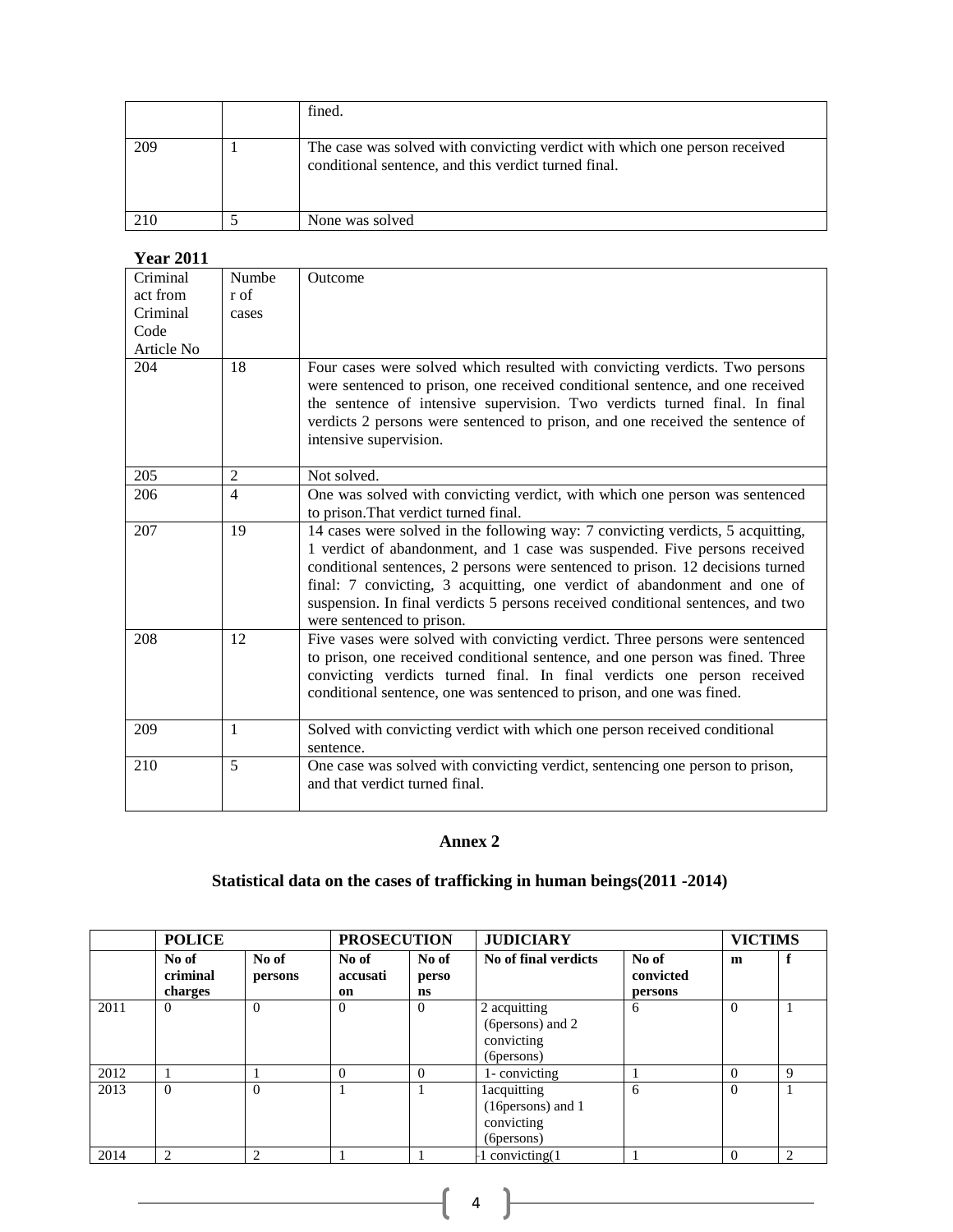|     | fined.                                                                                                                             |
|-----|------------------------------------------------------------------------------------------------------------------------------------|
| 209 | The case was solved with convicting verdict with which one person received<br>conditional sentence, and this verdict turned final. |
|     | None was solved                                                                                                                    |

## **Year 2011**

| Criminal   | Numbe          | Outcome                                                                                                                                                                                                                                                                                                                                                                                                                                    |
|------------|----------------|--------------------------------------------------------------------------------------------------------------------------------------------------------------------------------------------------------------------------------------------------------------------------------------------------------------------------------------------------------------------------------------------------------------------------------------------|
| act from   | r of           |                                                                                                                                                                                                                                                                                                                                                                                                                                            |
| Criminal   | cases          |                                                                                                                                                                                                                                                                                                                                                                                                                                            |
| Code       |                |                                                                                                                                                                                                                                                                                                                                                                                                                                            |
| Article No |                |                                                                                                                                                                                                                                                                                                                                                                                                                                            |
| 204        | 18             | Four cases were solved which resulted with convicting verdicts. Two persons<br>were sentenced to prison, one received conditional sentence, and one received<br>the sentence of intensive supervision. Two verdicts turned final. In final<br>verdicts 2 persons were sentenced to prison, and one received the sentence of<br>intensive supervision.                                                                                      |
| 205        | 2              | Not solved.                                                                                                                                                                                                                                                                                                                                                                                                                                |
| 206        | $\overline{4}$ | One was solved with convicting verdict, with which one person was sentenced                                                                                                                                                                                                                                                                                                                                                                |
|            |                | to prison. That verdict turned final.                                                                                                                                                                                                                                                                                                                                                                                                      |
| 207        | 19             | 14 cases were solved in the following way: 7 convicting verdicts, 5 acquitting,<br>1 verdict of abandonment, and 1 case was suspended. Five persons received<br>conditional sentences, 2 persons were sentenced to prison. 12 decisions turned<br>final: 7 convicting, 3 acquitting, one verdict of abandonment and one of<br>suspension. In final verdicts 5 persons received conditional sentences, and two<br>were sentenced to prison. |
| 208        | 12             | Five vases were solved with convicting verdict. Three persons were sentenced<br>to prison, one received conditional sentence, and one person was fined. Three<br>convicting verdicts turned final. In final verdicts one person received<br>conditional sentence, one was sentenced to prison, and one was fined.                                                                                                                          |
| 209        | $\mathbf{1}$   | Solved with convicting verdict with which one person received conditional<br>sentence.                                                                                                                                                                                                                                                                                                                                                     |
| 210        | 5              | One case was solved with convicting verdict, sentencing one person to prison,<br>and that verdict turned final.                                                                                                                                                                                                                                                                                                                            |

# **Annex 2**

# **Statistical data on the cases of trafficking in human beings(2011 -2014)**

|      | <b>POLICE</b>                |                  | <b>PROSECUTION</b>      |                      | <b>JUDICIARY</b>                                                      |                               |          | <b>VICTIMS</b> |  |
|------|------------------------------|------------------|-------------------------|----------------------|-----------------------------------------------------------------------|-------------------------------|----------|----------------|--|
|      | No of<br>criminal<br>charges | No of<br>persons | No of<br>accusati<br>on | No of<br>perso<br>ns | No of final verdicts                                                  | No of<br>convicted<br>persons | m        |                |  |
| 2011 | $\Omega$                     | $\Omega$         | $\theta$                | $\Omega$             | 2 acquitting<br>(6persons) and 2<br>convicting<br>(6 persons)         | 6                             | $\Omega$ |                |  |
| 2012 |                              |                  | $\Omega$                | $\Omega$             | 1-convicting                                                          |                               | $\Omega$ | $\mathbf Q$    |  |
| 2013 | $\Omega$                     | $\Omega$         |                         |                      | <b>lacquitting</b><br>(16 persons) and 1<br>convicting<br>(6 persons) | 6                             | $\Omega$ |                |  |
| 2014 | $\overline{c}$               | ↑                |                         |                      | convicting(1)                                                         |                               | $\Omega$ | $\mathcal{L}$  |  |

 $\begin{pmatrix} 4 \end{pmatrix}$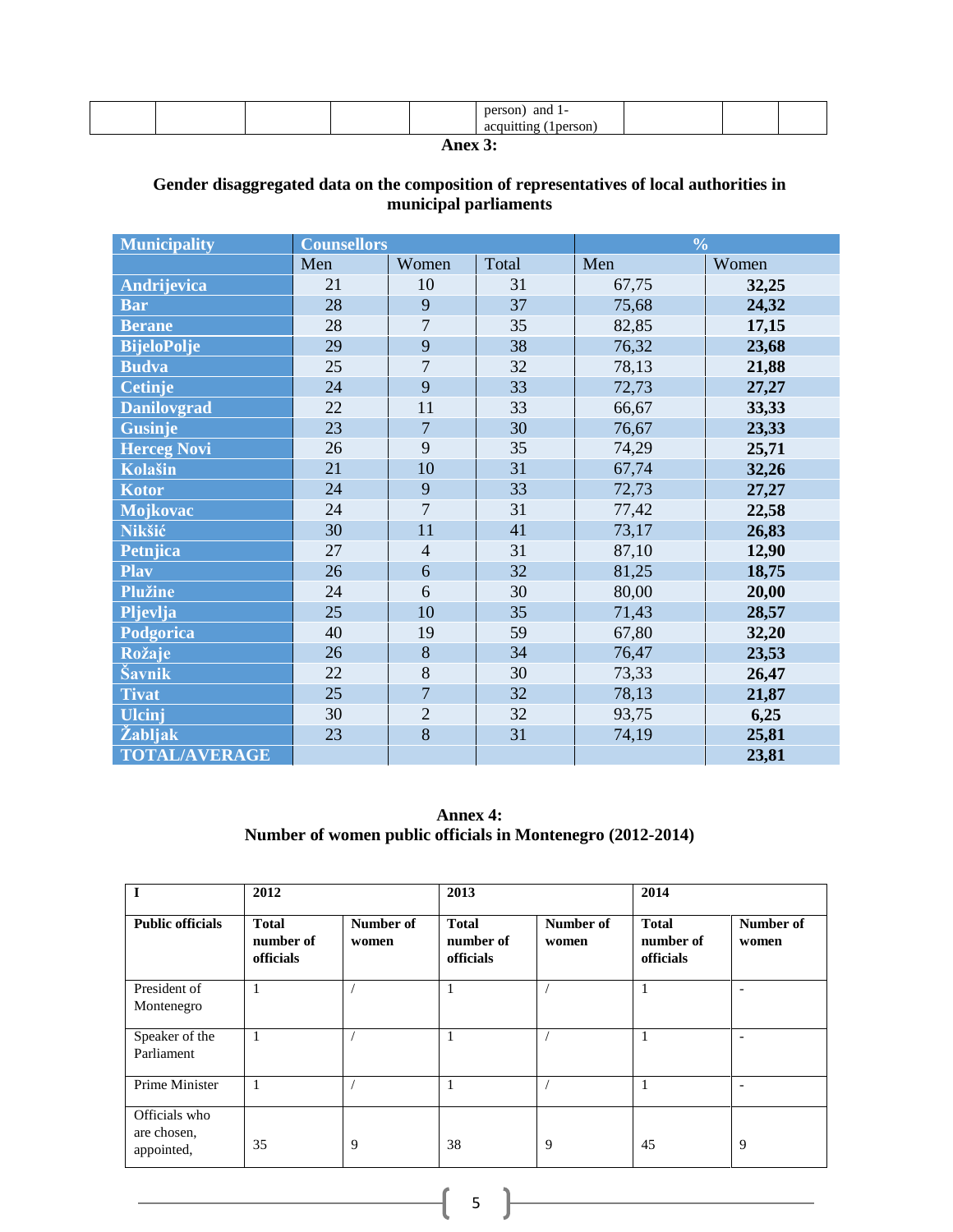|  |  |  | and<br>nerson<br>. .<br>۰ı۴.<br>$\ddotsc$ |  |  |  |
|--|--|--|-------------------------------------------|--|--|--|
|--|--|--|-------------------------------------------|--|--|--|

**Anex 3:**

# **Gender disaggregated data on the composition of representatives of local authorities in municipal parliaments**

| <b>Municipality</b>  | <b>Counsellors</b> |                |       | $\frac{0}{0}$ |       |  |
|----------------------|--------------------|----------------|-------|---------------|-------|--|
|                      | Men                | Women          | Total | Men           | Women |  |
| <b>Andrijevica</b>   | 21                 | 10             | 31    | 67,75         | 32,25 |  |
| <b>Bar</b>           | 28                 | 9              | 37    | 75,68         | 24,32 |  |
| <b>Berane</b>        | 28                 | $\overline{7}$ | 35    | 82,85         | 17,15 |  |
| <b>BijeloPolje</b>   | 29                 | 9              | 38    | 76,32         | 23,68 |  |
| <b>Budva</b>         | 25                 | $\overline{7}$ | 32    | 78,13         | 21,88 |  |
| Cetinje              | 24                 | 9              | 33    | 72,73         | 27,27 |  |
| <b>Danilovgrad</b>   | 22                 | 11             | 33    | 66,67         | 33,33 |  |
| <b>Gusinje</b>       | 23                 | $\overline{7}$ | 30    | 76,67         | 23,33 |  |
| <b>Herceg Novi</b>   | 26                 | 9              | 35    | 74,29         | 25,71 |  |
| Kolašin              | 21                 | 10             | 31    | 67,74         | 32,26 |  |
| Kotor                | 24                 | 9              | 33    | 72,73         | 27,27 |  |
| Mojkovac             | 24                 | $\overline{7}$ | 31    | 77,42         | 22,58 |  |
| Nikšić               | 30                 | 11             | 41    | 73,17         | 26,83 |  |
| Petnjica             | 27                 | $\overline{4}$ | 31    | 87,10         | 12,90 |  |
| <b>Play</b>          | 26                 | 6              | 32    | 81,25         | 18,75 |  |
| <b>Plužine</b>       | 24                 | 6              | 30    | 80,00         | 20,00 |  |
| Pljevlja             | 25                 | 10             | 35    | 71,43         | 28,57 |  |
| Podgorica            | 40                 | 19             | 59    | 67,80         | 32,20 |  |
| Rožaje               | 26                 | 8              | 34    | 76,47         | 23,53 |  |
| Šavnik               | 22                 | 8              | 30    | 73,33         | 26,47 |  |
| <b>Tivat</b>         | 25                 | $\overline{7}$ | 32    | 78,13         | 21,87 |  |
| <b>Ulcinj</b>        | 30                 | $\overline{2}$ | 32    | 93,75         | 6,25  |  |
| Žabljak              | 23                 | 8              | 31    | 74,19         | 25,81 |  |
| <b>TOTAL/AVERAGE</b> |                    |                |       |               | 23,81 |  |

**Annex 4: Number of women public officials in Montenegro (2012-2014)**

| I                                          | 2012                                   |                    | 2013                                   |                    | 2014                                   |                    |
|--------------------------------------------|----------------------------------------|--------------------|----------------------------------------|--------------------|----------------------------------------|--------------------|
| <b>Public officials</b>                    | <b>Total</b><br>number of<br>officials | Number of<br>women | <b>Total</b><br>number of<br>officials | Number of<br>women | <b>Total</b><br>number of<br>officials | Number of<br>women |
| President of<br>Montenegro                 |                                        |                    |                                        |                    |                                        |                    |
| Speaker of the<br>Parliament               | 1                                      |                    |                                        |                    |                                        |                    |
| Prime Minister                             | 1                                      |                    | 1                                      |                    | 1                                      |                    |
| Officials who<br>are chosen,<br>appointed, | 35                                     | 9                  | 38                                     | 9                  | 45                                     | 9                  |

 $\begin{array}{|c|c|c|c|}\hline \hspace{1.5cm}5 & \hspace{1.5cm} \end{array}$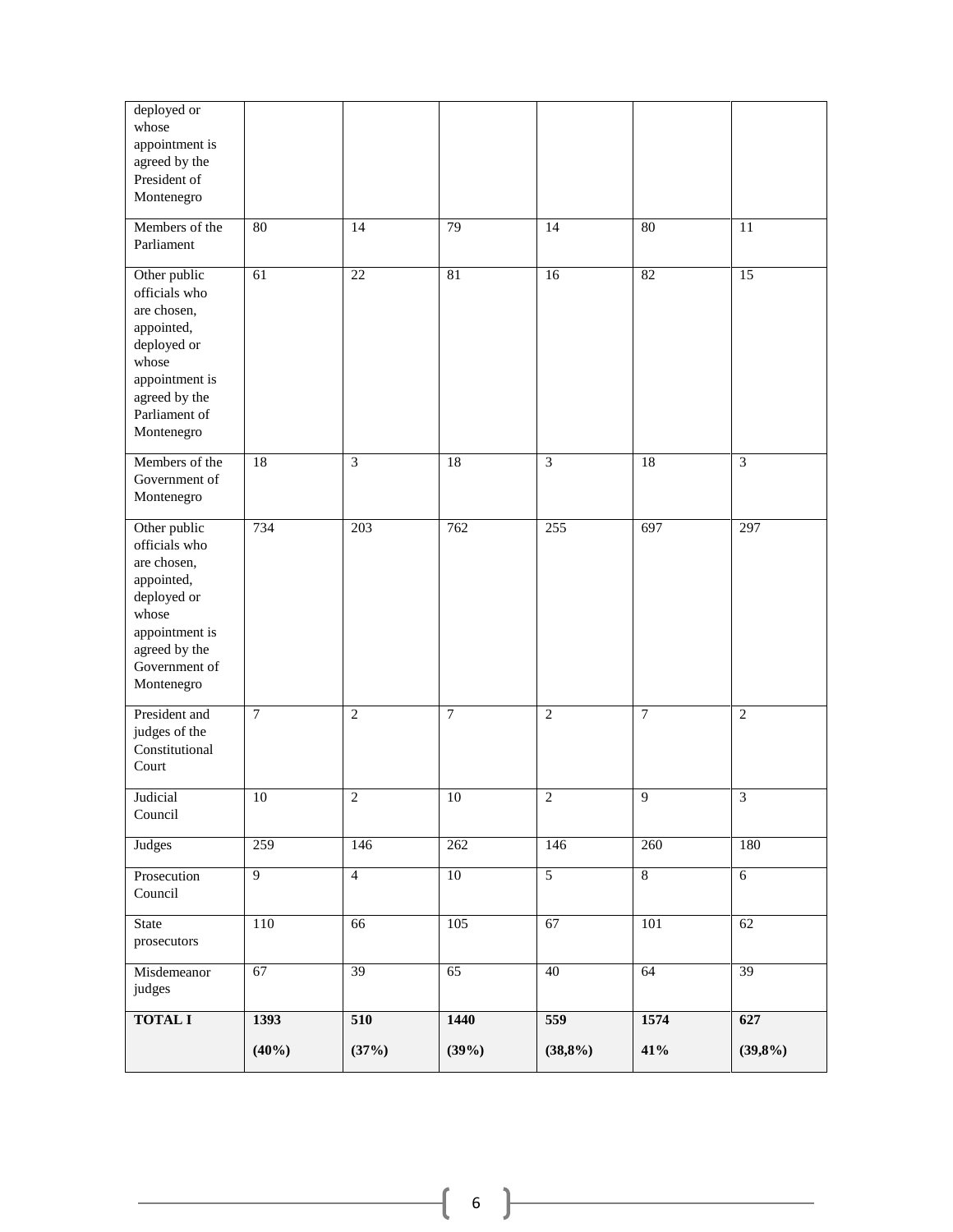| deployed or<br>whose<br>appointment is<br>agreed by the<br>President of<br>Montenegro                                                                |                 |                  |        |                 |                 |                 |
|------------------------------------------------------------------------------------------------------------------------------------------------------|-----------------|------------------|--------|-----------------|-----------------|-----------------|
| Members of the<br>Parliament                                                                                                                         | 80              | 14               | 79     | $\overline{14}$ | 80              | $\overline{11}$ |
| Other public<br>officials who<br>are chosen,<br>appointed,<br>deployed or<br>whose<br>appointment is<br>agreed by the<br>Parliament of<br>Montenegro | $\overline{61}$ | $\overline{22}$  | 81     | $\overline{16}$ | 82              | $\overline{15}$ |
| Members of the<br>Government of<br>Montenegro                                                                                                        | $\overline{18}$ | $\overline{3}$   | 18     | $\overline{3}$  | $\overline{18}$ | $\overline{3}$  |
| Other public<br>officials who<br>are chosen,<br>appointed,<br>deployed or<br>whose<br>appointment is<br>agreed by the<br>Government of<br>Montenegro | 734             | $\overline{203}$ | 762    | 255             | 697             | 297             |
| President and<br>judges of the<br>Constitutional<br>Court                                                                                            | $\tau$          | $\mathbf{2}$     | $\tau$ | $\overline{2}$  | $\tau$          | $\mathbf{2}$    |
| Judicial<br>Council                                                                                                                                  | 10              | $\boldsymbol{2}$ | $10\,$ | $\overline{2}$  | $\overline{9}$  | $\overline{3}$  |
| Judges                                                                                                                                               | 259             | 146              | 262    | 146             | 260             | 180             |
| Prosecution<br>Council                                                                                                                               | $\overline{9}$  | $\overline{4}$   | $10\,$ | $\overline{5}$  | $\sqrt{8}$      | $\overline{6}$  |
| State<br>prosecutors                                                                                                                                 | 110             | 66               | 105    | 67              | 101             | 62              |
| Misdemeanor<br>judges                                                                                                                                | 67              | 39               | 65     | 40              | 64              | 39              |
| <b>TOTAL I</b>                                                                                                                                       | 1393            | 510              | 1440   | 559             | 1574            | 627             |
|                                                                                                                                                      | (40%)           | (37%)            | (39%)  | (38,8%)         | 41%             | (39,8%)         |

 $\begin{pmatrix} 6 \end{pmatrix}$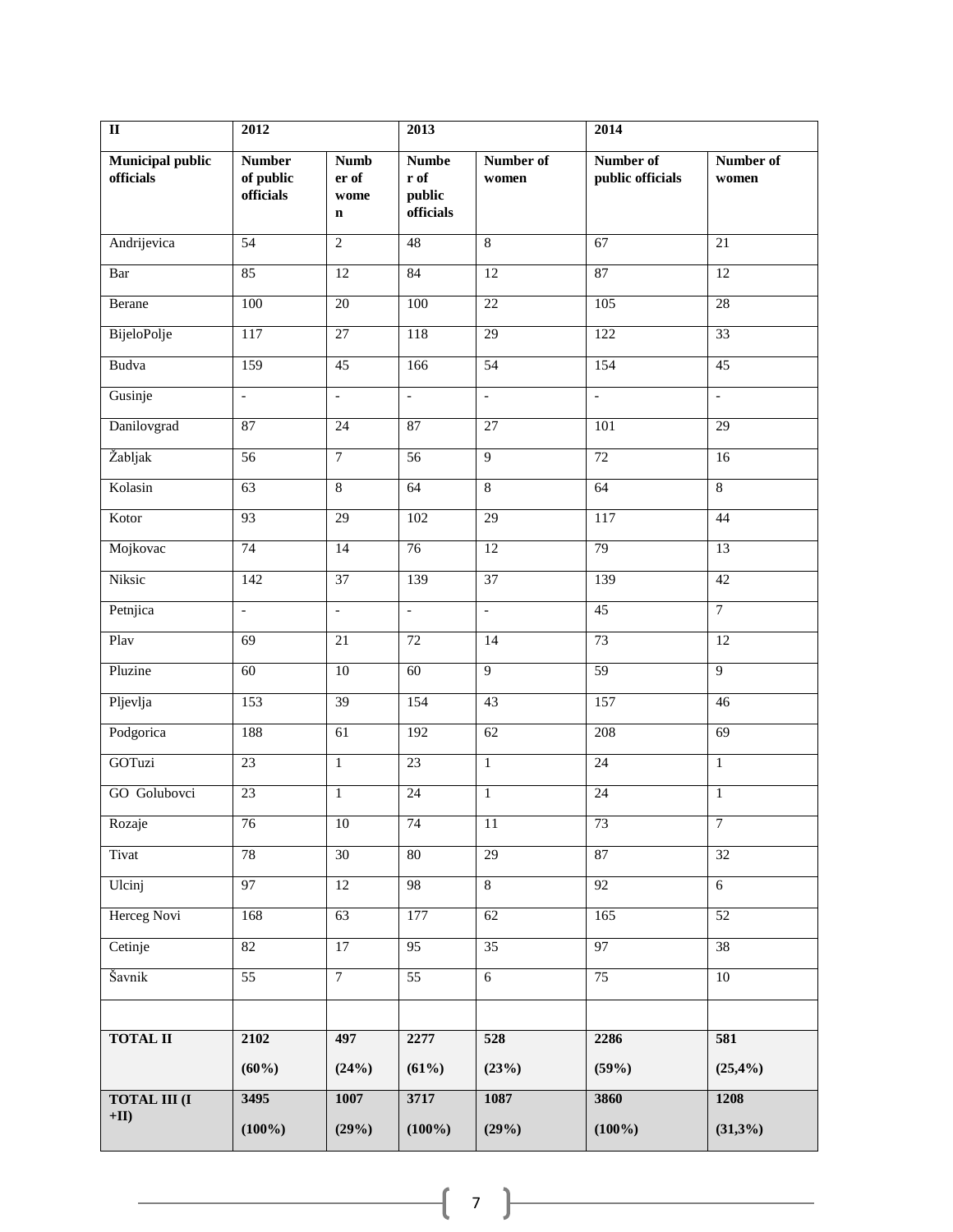| $\overline{\mathbf{u}}$              | 2012                                    |                                             | 2013                                        |                    | 2014                          |                          |
|--------------------------------------|-----------------------------------------|---------------------------------------------|---------------------------------------------|--------------------|-------------------------------|--------------------------|
| <b>Municipal public</b><br>officials | <b>Number</b><br>of public<br>officials | <b>Numb</b><br>er of<br>wome<br>$\mathbf n$ | <b>Numbe</b><br>r of<br>public<br>officials | Number of<br>women | Number of<br>public officials | Number of<br>women       |
| Andrijevica                          | $\overline{54}$                         | $\overline{2}$                              | 48                                          | $\overline{8}$     | 67                            | 21                       |
| Bar                                  | 85                                      | $\overline{12}$                             | 84                                          | $\overline{12}$    | 87                            | $\overline{12}$          |
| Berane                               | 100                                     | 20                                          | 100                                         | 22                 | 105                           | 28                       |
| BijeloPolje                          | 117                                     | $\overline{27}$                             | 118                                         | $\overline{29}$    | 122                           | $\overline{33}$          |
| Budva                                | 159                                     | 45                                          | 166                                         | 54                 | 154                           | $\overline{45}$          |
| Gusinje                              | $\overline{\phantom{a}}$                | $\mathbb{L}$                                | $\mathbb{L}$                                | $\mathbb{L}$       | $\mathbb{L}$                  | $\overline{\phantom{a}}$ |
| Danilovgrad                          | 87                                      | $\overline{24}$                             | 87                                          | $\overline{27}$    | 101                           | 29                       |
| Žabljak                              | 56                                      | $\tau$                                      | 56                                          | $\overline{9}$     | $\overline{72}$               | 16                       |
| Kolasin                              | 63                                      | $\overline{8}$                              | 64                                          | $\overline{8}$     | 64                            | $\overline{8}$           |
| Kotor                                | 93                                      | 29                                          | 102                                         | 29                 | 117                           | 44                       |
| Mojkovac                             | 74                                      | $\overline{14}$                             | 76                                          | $\overline{12}$    | 79                            | $\overline{13}$          |
| Niksic                               | 142                                     | 37                                          | 139                                         | 37                 | 139                           | 42                       |
| Petnjica                             | $\overline{\phantom{a}}$                | $\mathbb{L}$                                | $\mathbb{L}$                                | $\mathbb{L}$       | $\overline{45}$               | $\overline{7}$           |
| Play                                 | 69                                      | $\overline{21}$                             | $\overline{72}$                             | $\overline{14}$    | 73                            | $\overline{12}$          |
| Pluzine                              | 60                                      | 10                                          | 60                                          | $\overline{9}$     | $\overline{59}$               | $\overline{9}$           |
| Pljevlja                             | 153                                     | $\overline{39}$                             | 154                                         | 43                 | 157                           | 46                       |
| Podgorica                            | 188                                     | $\overline{61}$                             | 192                                         | 62                 | 208                           | 69                       |
| GOTuzi                               | $\overline{23}$                         | $\mathbf{1}$                                | 23                                          | $\overline{1}$     | $\overline{24}$               | $\mathbf{1}$             |
| GO Golubovci                         | 23                                      | $\mathbf{1}$                                | 24                                          | $\mathbf{1}$       | 24                            | $\mathbf{1}$             |
| Rozaje                               | 76                                      | $10\,$                                      | 74                                          | 11                 | 73                            | $\overline{7}$           |
| Tivat                                | 78                                      | 30                                          | 80                                          | 29                 | 87                            | $\overline{32}$          |
| Ulcinj                               | 97                                      | $\overline{12}$                             | 98                                          | $\overline{8}$     | $\overline{92}$               | $\overline{6}$           |
| Herceg Novi                          | 168                                     | 63                                          | 177                                         | 62                 | 165                           | 52                       |
| Cetinje                              | 82                                      | $\overline{17}$                             | $\overline{95}$                             | $\overline{35}$    | 97                            | 38                       |
| Šavnik                               | $\overline{55}$                         | $\overline{7}$                              | $\overline{55}$                             | $\overline{6}$     | $\overline{75}$               | $\overline{10}$          |
|                                      |                                         |                                             |                                             |                    |                               |                          |
| <b>TOTAL II</b>                      | 2102                                    | 497                                         | 2277                                        | 528                | 2286                          | 581                      |
|                                      | (60%)                                   | (24%)                                       | (61%)                                       | (23%)              | (59%)                         | (25,4%)                  |
| <b>TOTAL III (I)</b>                 | 3495                                    | 1007                                        | 3717                                        | 1087               | 3860                          | 1208                     |
| $+$ II)                              | $(100\%)$                               | (29%)                                       | $(100\%)$                                   | (29%)              | $(100\%)$                     | (31,3%)                  |

 $(7)$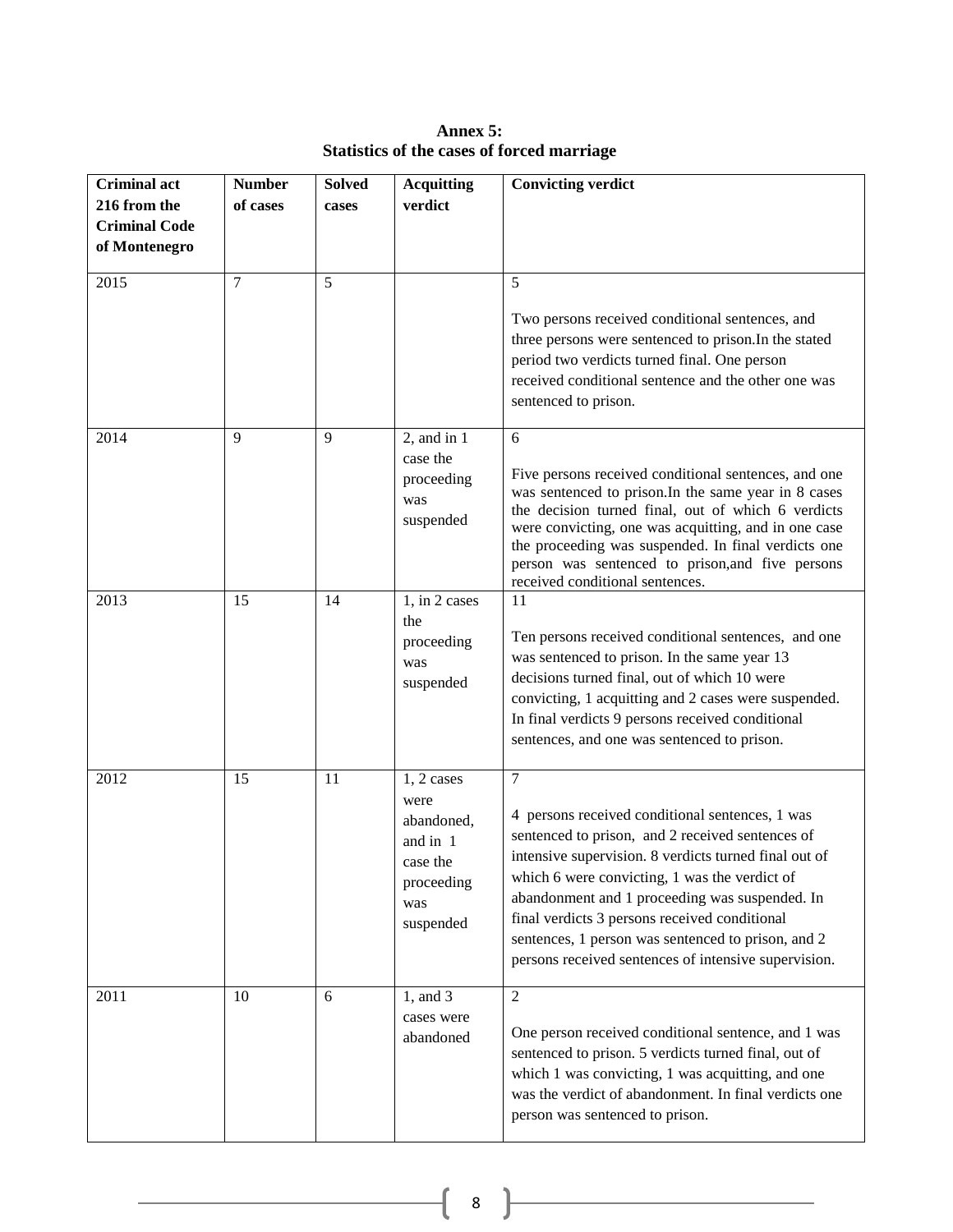| <b>Criminal act</b><br>216 from the<br><b>Criminal Code</b> | <b>Number</b><br>of cases | <b>Solved</b><br>cases | <b>Acquitting</b><br>verdict                                                                 | <b>Convicting verdict</b>                                                                                                                                                                                                                                                                                                                                                                                                                |
|-------------------------------------------------------------|---------------------------|------------------------|----------------------------------------------------------------------------------------------|------------------------------------------------------------------------------------------------------------------------------------------------------------------------------------------------------------------------------------------------------------------------------------------------------------------------------------------------------------------------------------------------------------------------------------------|
| of Montenegro                                               |                           |                        |                                                                                              |                                                                                                                                                                                                                                                                                                                                                                                                                                          |
| 2015                                                        | 7                         | 5                      |                                                                                              | 5<br>Two persons received conditional sentences, and<br>three persons were sentenced to prison. In the stated<br>period two verdicts turned final. One person<br>received conditional sentence and the other one was<br>sentenced to prison.                                                                                                                                                                                             |
| 2014                                                        | 9                         | 9                      | 2, and in $\overline{1}$<br>case the<br>proceeding<br>was<br>suspended                       | 6<br>Five persons received conditional sentences, and one<br>was sentenced to prison. In the same year in 8 cases<br>the decision turned final, out of which 6 verdicts<br>were convicting, one was acquitting, and in one case<br>the proceeding was suspended. In final verdicts one<br>person was sentenced to prison, and five persons<br>received conditional sentences.                                                            |
| 2013                                                        | 15                        | 14                     | 1, in 2 cases<br>the<br>proceeding<br>was<br>suspended                                       | 11<br>Ten persons received conditional sentences, and one<br>was sentenced to prison. In the same year 13<br>decisions turned final, out of which 10 were<br>convicting, 1 acquitting and 2 cases were suspended.<br>In final verdicts 9 persons received conditional<br>sentences, and one was sentenced to prison.                                                                                                                     |
| 2012                                                        | 15                        | 11                     | $1, 2$ cases<br>were<br>abandoned,<br>and in 1<br>case the<br>proceeding<br>was<br>suspended | $\tau$<br>4 persons received conditional sentences, 1 was<br>sentenced to prison, and 2 received sentences of<br>intensive supervision. 8 verdicts turned final out of<br>which 6 were convicting, 1 was the verdict of<br>abandonment and 1 proceeding was suspended. In<br>final verdicts 3 persons received conditional<br>sentences, 1 person was sentenced to prison, and 2<br>persons received sentences of intensive supervision. |
| 2011                                                        | 10                        | 6                      | 1, and 3<br>cases were<br>abandoned                                                          | $\overline{2}$<br>One person received conditional sentence, and 1 was<br>sentenced to prison. 5 verdicts turned final, out of<br>which 1 was convicting, 1 was acquitting, and one<br>was the verdict of abandonment. In final verdicts one<br>person was sentenced to prison.                                                                                                                                                           |

**Annex 5: Statistics of the cases of forced marriage**

 $\{ 8 \}$ 

<u> 1980 - Johann Barbara, martxa a</u>

 $\overline{\phantom{a}}$